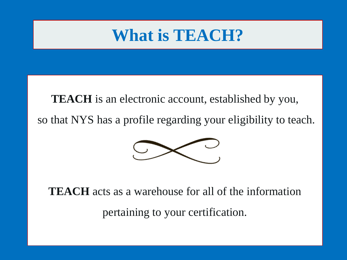# **What is TEACH?**

TEACH is an electronic account, established by you, so that NYS has a profile regarding your eligibility to teach.



**TEACH** acts as a warehouse for all of the information pertaining to your certification.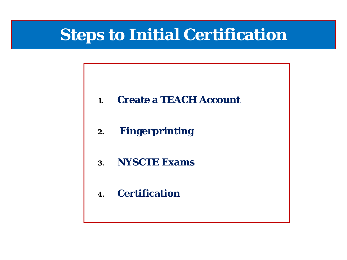## **Steps to Initial Certification**

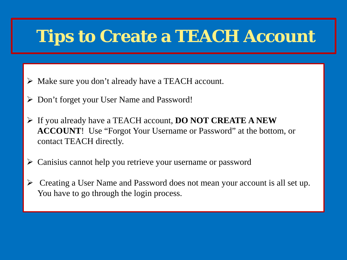## **Tips to Create a TEACH Account**

- Make sure you don't already have a TEACH account.
- Don't forget your User Name and Password!
- If you already have a TEACH account, **DO NOT CREATE A NEW ACCOUNT**! Use "Forgot Your Username or Password" at the bottom, or contact TEACH directly.
- Canisius cannot help you retrieve your username or password
- Creating a User Name and Password does not mean your account is all set up. You have to go through the login process.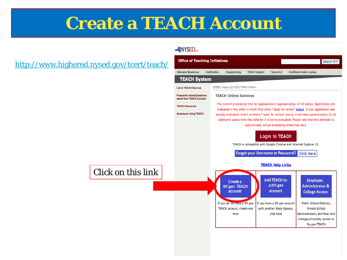# **Create a TEACH Account**

### <http://www.highered.nysed.gov/tcert/teach/>

#### **NYSED**<sub>ao</sub>

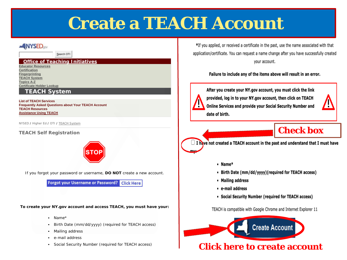# **Create a TEACH Account**

#### **NYSED**

Search OTI

#### **Office of Teaching Initiatives**

**Educator Resources Certification Fingerprinting TEACH System Topics A-Z Certificate Holder Lookup**

#### **TEACH System**

#### **List of TEACH Services Frequently Asked Questions about Your TEACH Account**

**TEACH Resources Assistance Using TEACH**

NYSED / Higher Ed / OTI / TEACH System

#### **TEACH Self Registration**



If you forgot your password or username, **DO NOT** create a new account.

**Forgot your Username or Password?** Click Here

**To create your NY.gov account and access TEACH, you must have your:**

- Name\*
- Birth Date (mm/dd/yyyy) (required for TEACH access)
- Mailing address
- e-mail address
- Social Security Number (required for TEACH access)

\*If you applied, or received a certificate in the past, use the name associated with that application/certificate. You can request a name change after you have successfully created vour account.

#### Failure to include any of the items above will result in an error.



After you create your NY.gov account, you must click the link provided, log in to your NY.gov account, then click on TEACH Online Services and provide your Social Security Number and date of birth.



### **Check box**



- Name\*
- Birth Date (mm/dd/yyyy)(required for TEACH access)
- Mailing address
- e-mail address
- Social Security Number (required for TEACH access)

TEACH is compatible with Google Chrome and Internet Explorer 11

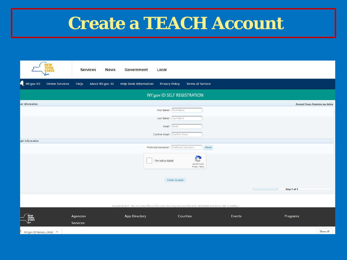# **Create a TEACH Account**

|                        | NEW<br>YORK<br>ȘTATE   | <b>Services</b> | <b>News</b><br>Government                       | Local                                                                                                                          |                                   |              |                                               |          |
|------------------------|------------------------|-----------------|-------------------------------------------------|--------------------------------------------------------------------------------------------------------------------------------|-----------------------------------|--------------|-----------------------------------------------|----------|
| NY.gov ID              | <b>Online Services</b> | FAQS            | About NY.gov ID<br><b>Help Desk Information</b> | <b>Privacy Policy</b>                                                                                                          | <b>Terms of Service</b>           |              |                                               |          |
|                        |                        |                 |                                                 | NY.gov ID SELF REGISTRATION                                                                                                    |                                   |              |                                               |          |
| ser Information        |                        |                 |                                                 |                                                                                                                                |                                   |              | <b>Personal Privacy Protection Law Notice</b> |          |
|                        |                        |                 |                                                 | First Name* First Name                                                                                                         |                                   |              |                                               |          |
|                        |                        |                 |                                                 | Last Name <sup>*</sup> Last Name                                                                                               |                                   |              |                                               |          |
|                        |                        |                 |                                                 | Email <sup>*</sup> Email                                                                                                       |                                   |              |                                               |          |
|                        |                        |                 |                                                 | Confirm Email* Confirm Email                                                                                                   |                                   |              |                                               |          |
| gin Information        |                        |                 |                                                 |                                                                                                                                |                                   |              |                                               |          |
|                        |                        |                 |                                                 | Preferred Username* Preferred Username                                                                                         |                                   | <b>Check</b> |                                               |          |
|                        |                        |                 |                                                 | I'm not a robot                                                                                                                | C<br>reCAPTCHA<br>Privacy - Terms |              |                                               |          |
|                        |                        |                 |                                                 | <b>Create Account</b>                                                                                                          |                                   |              |                                               |          |
|                        |                        |                 |                                                 |                                                                                                                                |                                   |              | $\subset$<br>Step 1 of 3                      |          |
|                        |                        |                 |                                                 | Copyright @ 2017 - New York State Office of Information Technology Services (ITS) Build: 08/20/2020 8:01 AM W: 166P A: 169PB_1 |                                   |              |                                               |          |
|                        |                        | Agencies        | <b>App Directory</b>                            |                                                                                                                                | Counties                          | Events       | Programs                                      |          |
|                        |                        |                 |                                                 |                                                                                                                                |                                   |              |                                               |          |
|                        |                        | Services        |                                                 |                                                                                                                                |                                   |              |                                               |          |
| NY.aov ID Personhtml ^ |                        |                 |                                                 |                                                                                                                                |                                   |              |                                               | Show all |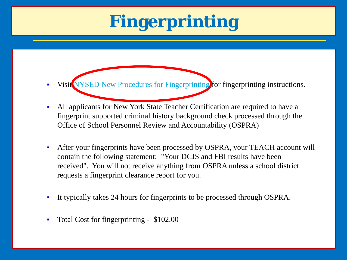# **Fingerprinting**

- Visit [NYSED New Procedures for Fingerprinting](http://www.highered.nysed.gov/tsei/ospra/) for fingerprinting instructions.
- All applicants for New York State Teacher Certification are required to have a fingerprint supported criminal history background check processed through the Office of School Personnel Review and Accountability (OSPRA)
- After your fingerprints have been processed by OSPRA, your TEACH account will contain the following statement: "Your DCJS and FBI results have been received". You will not receive anything from OSPRA unless a school district requests a fingerprint clearance report for you.
- It typically takes 24 hours for fingerprints to be processed through OSPRA.
- Total Cost for fingerprinting \$102.00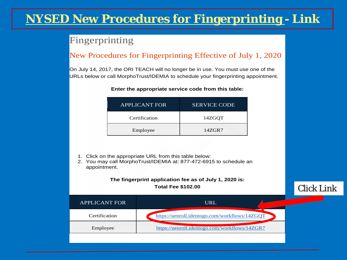## **NYSED New Procedures for Fingerprinting - Link**

### Fingerprinting

### New Procedures for Fingerprinting Effective of July 1, 2020

On July 14, 2017, the ORI TEACH will no longer be in use. You must use one of the URLs below or call MorphoTrust/IDEMIA to schedule your fingerprinting appointment.

| <b>APPLICANT FOR</b> | <b>SERVICE CODE</b> |  |  |  |  |
|----------------------|---------------------|--|--|--|--|
| Certification        | 14ZGQT              |  |  |  |  |
| Employee             | 14ZGR7              |  |  |  |  |

#### **Enter the appropriate service code from this table:**

- 1. Click on the appropriate URL from this table below:
- 2. You may call MorphoTrust/IDEMIA at: 877-472-6915 to schedule an appointment.

#### **The fingerprint application fee as of July 1, 2020 is: Total Fee \$102.00**

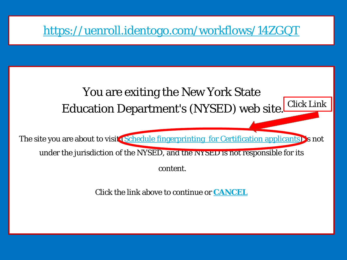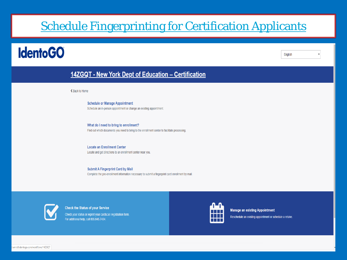## **Schedule Fingerprinting for Certification Applicants**

## **IdentoGO**

English

### 14ZGQT - New York Dept of Education - Certification

← Back to Home

**Schedule or Manage Appointment** Schedule an in-person appointment or change an existing appointment.

What do I need to bring to enrollment? Find out which documents you need to bring to the enrollment center to facilitate processing

**Locate an Enrollment Center** Locate and get directions to an enrollment center near you.

**Submit A Fingerprint Card by Mail** Complete the pre-enrollment information necessary to submit a fingerprint card enrollment by mail.



**Check the Status of your Service** Check your status or reprint your cardscan registration form. For additional help, call 855.845.7434.



**Manage an existing Appointment** Reschedule an existing appointment or schedule a retake.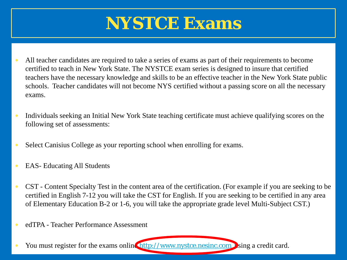# **NYSTCE Exams**

- All teacher candidates are required to take a series of exams as part of their requirements to become certified to teach in New York State. The NYSTCE exam series is designed to insure that certified teachers have the necessary knowledge and skills to be an effective teacher in the New York State public schools. Teacher candidates will not become NYS certified without a passing score on all the necessary exams.
- Individuals seeking an Initial New York State teaching certificate must achieve qualifying scores on the following set of assessments:
- Select Canisius College as your reporting school when enrolling for exams.
- EAS- Educating All Students
- CST Content Specialty Test in the content area of the certification. (For example if you are seeking to be certified in English 7-12 you will take the CST for English. If you are seeking to be certified in any area of Elementary Education B-2 or 1-6, you will take the appropriate grade level Multi-Subject CST.)
- edTPA Teacher Performance Assessment
- You must register for the exams online [http://www.nystce.nesinc.com](http://www.nystce.nesinc.com/) ising a credit card.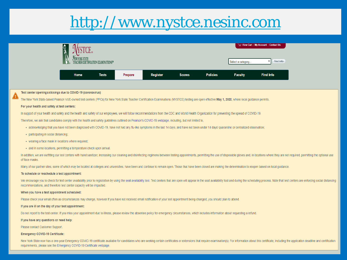## http://www.nystce.nesinc.com

|                                                                                                                                                                                                                          |                                     |              |         |                 |               |                 |                    | View Cart   My Account   Contact Us |                                                                                                                                                                                                                                |  |
|--------------------------------------------------------------------------------------------------------------------------------------------------------------------------------------------------------------------------|-------------------------------------|--------------|---------|-----------------|---------------|-----------------|--------------------|-------------------------------------|--------------------------------------------------------------------------------------------------------------------------------------------------------------------------------------------------------------------------------|--|
|                                                                                                                                                                                                                          | TEACHER CERTIFICATION EXAMINATIONS™ |              |         |                 |               |                 | Select a category. | <b>Find Info</b>                    |                                                                                                                                                                                                                                |  |
|                                                                                                                                                                                                                          | Home                                | <b>Tests</b> | Prepare | <b>Register</b> | <b>Scores</b> | <b>Policies</b> | <b>Faculty</b>     | <b>Find Info</b>                    |                                                                                                                                                                                                                                |  |
|                                                                                                                                                                                                                          |                                     |              |         |                 |               |                 |                    |                                     |                                                                                                                                                                                                                                |  |
| Test center openings/closings due to COVID-19 (coronavirus)                                                                                                                                                              |                                     |              |         |                 |               |                 |                    |                                     |                                                                                                                                                                                                                                |  |
| The New York State-based Pearson VUE-owned test centers (PPCs) for New York State Teacher Certification Examinations (NYSTCE) testing are open effective May 1, 2020, where local guidance permits.                      |                                     |              |         |                 |               |                 |                    |                                     |                                                                                                                                                                                                                                |  |
| For your health and safety at test centers:                                                                                                                                                                              |                                     |              |         |                 |               |                 |                    |                                     |                                                                                                                                                                                                                                |  |
| In support of your health and safety and the health and safety of our employees, we will follow recommendations from the CDC and World Health Organization for preventing the spread of COVID-19.                        |                                     |              |         |                 |               |                 |                    |                                     |                                                                                                                                                                                                                                |  |
| Therefore, we ask that candidates comply with the health and safety guidelines outlined on Pearson's COVID-19 webpage, including, but not limited to,                                                                    |                                     |              |         |                 |               |                 |                    |                                     |                                                                                                                                                                                                                                |  |
| . acknowledging that you have not been diagnosed with COVID-19, have not had any flu-like symptoms in the last 14 days, and have not been under 14 days' quarantine or centralized observation;                          |                                     |              |         |                 |               |                 |                    |                                     |                                                                                                                                                                                                                                |  |
| · participating in social distancing;                                                                                                                                                                                    |                                     |              |         |                 |               |                 |                    |                                     |                                                                                                                                                                                                                                |  |
| • wearing a face mask in locations where required;                                                                                                                                                                       |                                     |              |         |                 |               |                 |                    |                                     |                                                                                                                                                                                                                                |  |
| • and in some locations, permitting a temperature check upon arrival.                                                                                                                                                    |                                     |              |         |                 |               |                 |                    |                                     |                                                                                                                                                                                                                                |  |
| of face masks.                                                                                                                                                                                                           |                                     |              |         |                 |               |                 |                    |                                     | In addition, we are outfitting our test centers with hand sanitizer, increasing our cleaning and disinfecting regimens between testing appointments, permitting the use of disposable gloves and, in locations where they are  |  |
| Many of our partner sites, some of which may be located at colleges and universities, have been and continue to remain open. Those that have been closed are making the determination to reopen based on local guidance. |                                     |              |         |                 |               |                 |                    |                                     |                                                                                                                                                                                                                                |  |
| To schedule or reschedule a test appointment:                                                                                                                                                                            |                                     |              |         |                 |               |                 |                    |                                     |                                                                                                                                                                                                                                |  |
| recommendations, and therefore test center capacity will be impacted.                                                                                                                                                    |                                     |              |         |                 |               |                 |                    |                                     | We encourage you to check for test center availability prior to registration by using the seat availability tool. Test centers that are open will appear in the seat availability tool and during the scheduling process. Note |  |
| When you have a test appointment scheduled:                                                                                                                                                                              |                                     |              |         |                 |               |                 |                    |                                     |                                                                                                                                                                                                                                |  |
| Please check your email often as circumstances may change, however if you have not received email notification of your test appointment being changed, you should plan to attend.                                        |                                     |              |         |                 |               |                 |                    |                                     |                                                                                                                                                                                                                                |  |
| If you are ill on the day of your test appointment:                                                                                                                                                                      |                                     |              |         |                 |               |                 |                    |                                     |                                                                                                                                                                                                                                |  |
| Do not report to the test center. If you miss your appointment due to illness, please review the absentee policy for emergency circumstances, which includes information about requesting a refund.                      |                                     |              |         |                 |               |                 |                    |                                     |                                                                                                                                                                                                                                |  |
| If you have any questions or need help:                                                                                                                                                                                  |                                     |              |         |                 |               |                 |                    |                                     |                                                                                                                                                                                                                                |  |

Please contact Customer Support.

#### **Emergency COVID-19 Certificate:**

New York State now has a one-year Emergency COVID-19 certificate available for candidates who are seeking certain certificates or extensions that require examination(s). For information about this certificate, including th requirements, please see the Emergency COVID-19 Certificate webpage.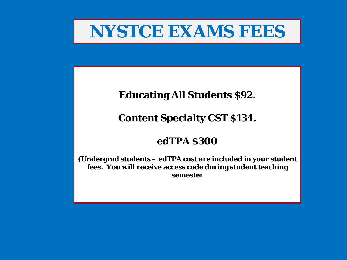## **NYSTCE EXAMS FEES**

## **Educating All Students \$92.**

## **Content Specialty CST \$134.**

## **edTPA \$300**

**(Undergrad students – edTPA cost are included in your student fees. You will receive access code during student teaching semester**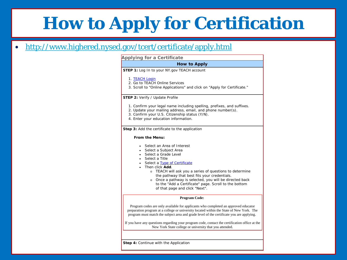# **How to Apply for Certification**

### <http://www.highered.nysed.gov/tcert/certificate/apply.html>

#### **Applying for a Certificate How to Apply STEP 1:** Log In to your NY.gov TEACH account 1. TEACH Login 2. Go to TEACH Online Services 3. Scroll to "Online Applications" and click on "Apply for Certificate." **STEP 2:** Verify / Update Profile 1. Confirm your legal name including spelling, prefixes, and suffixes. 2. Update your mailing address, email, and phone number(s). 3. Confirm your U.S. Citizenship status (Y/N). 4. Enter your education information. **Step 3:** Add the certificate to the application **From the Menu:** • Select an Area of Interest Select a Subject Area Select a Grade Level • Select a Title Select a Type of Certificate • Then click **Add**. o TEACH will ask you a series of questions to determine the pathway that best fits your credentials. o Once a pathway is selected, you will be directed back to the "Add a Certificate" page. Scroll to the bottom of that page and click "Next". **Program Code:** Program codes are only available for applicants who completed an approved educator preparation program at a college or university located within the State of New York. The program must match the subject area and grade level of the certificate you are applying. If you have any questions regarding your program code, contact the certification office at the New York State college or university that you attended.

**Step 4:** Continue with the Application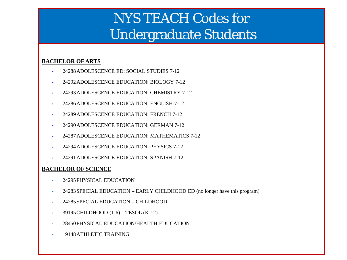## NYS TEACH Codes for Undergraduate Students

#### **BACHELOR OF ARTS**

- 24288ADOLESCENCE ED: SOCIAL STUDIES 7-12
- 24292ADOLESCENCE EDUCATION: BIOLOGY 7-12
- 24293 ADOLESCENCE EDUCATION: CHEMISTRY 7-12
- 24286ADOLESCENCE EDUCATION: ENGLISH 7-12
- 24289 ADOLESCENCE EDUCATION: FRENCH 7-12
- 24290ADOLESCENCE EDUCATION: GERMAN 7-12
- 24287ADOLESCENCE EDUCATION: MATHEMATICS 7-12
- 24294 ADOLESCENCE EDUCATION: PHYSICS 7-12
- 24291ADOLESCENCE EDUCATION: SPANISH 7-12

#### **BACHELOR OF SCIENCE**

- 24295PHYSICAL EDUCATION
- 24283 SPECIAL EDUCATION EARLY CHILDHOOD ED (no longer have this program)
- 24285SPECIAL EDUCATION CHILDHOOD
- 39195 CHILDHOOD  $(1-6)$  TESOL  $(K-12)$
- 28450PHYSICAL EDUCATION/HEALTH EDUCATION
- 19148ATHLETIC TRAINING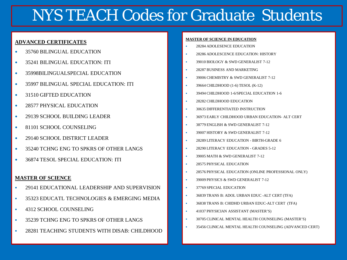## NYS TEACH Codes for Graduate Students

#### **ADVANCED CERTIFICATES**

- 35760 BILINGUAL EDUCATION
- 35241 BILINGUAL EDUCATION: ITI
- 35998BILINGUALSPECIAL EDUCATION
- 35997 BILINGUAL SPECIAL EDUCATION: ITI
- 31510 GIFTED EDUCATION
- 28577 PHYSICAL EDUCATION
- **29139 SCHOOL BUILDING LEADER**
- 81101 SCHOOL COUNSELING
- 29140 SCHOOL DISTRICT LEADER
- 35240 TCHNG ENG TO SPKRS OF OTHER LANGS
- 36874 TESOL SPECIAL EDUCATION: ITI

#### **MASTER OF SCIENCE**

- 29141 EDUCATIONAL LEADERSHIP AND SUPERVISION
- $\bullet$  35323 EDUCATL TECHNOLOGIES  $\&$  EMERGING MEDIA
- **4312 SCHOOL COUNSELING**
- <sup>35239</sup> TCHNG ENG TO SPKRS OF OTHER LANGS
- 28281 TEACHING STUDENTS WITH DISAB: CHILDHOOD

#### **MASTER OF SCIENCE IN EDUCATION**

- 28284 ADOLESENCE EDUCATION
- 28286 ADOLESCENCE EDUCATION: HISTORY
- <sup>39010</sup> BIOLOGY & SWD GENERALIST 7-12
- 28287 BUSINESS AND MARKETING
- <sup>39006</sup> CHEMISTRY & SWD GENERALIST 7-12
- **39664 CHILDHOOD** (1-6) TESOL (K-12)
- <sup>39494</sup> CHILDHOOD 1-6/SPECIAL EDUCATION 1-6
- 28282 CHILDHOOD EDUCATION
- 30635 DIFFERENTIATED INSTRUCTION
- 36973 EARLY CHILDHOOD URBAN EDUCATION- ALT CERT
- 38779 ENGLISH & SWD GENERALIST 7-12
- 39007 HISTORY & SWD GENERALIST 7-12
- 28289 LITERACY EDUCATION BIRTH-GRADE 6
- 28290 LITERACY EDUCATION GRADES 5-12
- 39005 MATH & SWD GENERALIST 7-12
- 28575 PHYSICAL EDUCATION
- 28576 PHYSICAL EDUCATION (ONLINE PROFESSIONAL ONLY)
- 39009 PHYSICS & SWD GENERALIST 7-12
- **37769 SPECIAL EDUCATION**
- 36839 TRANS B: ADOL URBAN EDUC -ALT CERT (TFA)
- 36838 TRANS B: CHIDHD URBAN EDUC-ALT CERT (TFA)
- <sup>4</sup> 41037 PHYSICIAN ASSISTANT (MASTER'S)
- 30705 CLINICAL MENTAL HEALTH COUNSELING (MASTER'S)
- 35456 CLINICAL MENTAL HEALTH COUNSELING (ADVANCED CERT)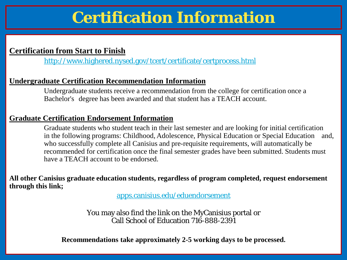## **Certification Information**

### **Certification from Start to Finish**

<http://www.highered.nysed.gov/tcert/certificate/certprocess.html>

### **Undergraduate Certification Recommendation Information**

Undergraduate students receive a recommendation from the college for certification once a Bachelor's degree has been awarded and that student has a TEACH account.

### **Graduate Certification Endorsement Information**

Graduate students who student teach in their last semester and are looking for initial certification in the following programs: Childhood, Adolescence, Physical Education or Special Education and, who successfully complete all Canisius and pre-requisite requirements, will automatically be recommended for certification once the final semester grades have been submitted. Students must have a TEACH account to be endorsed.

**All other Canisius graduate education students, regardless of program completed, request endorsement through this link;** 

apps.canisius.edu/eduendorsement

You may also find the link on the MyCanisius portal or Call School of Education 716-888-2391

**Recommendations take approximately 2-5 working days to be processed.**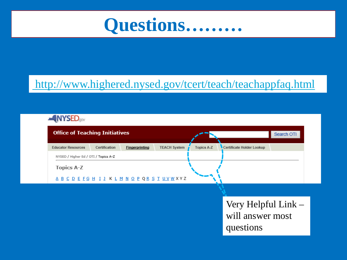

## http://www.highered.nysed.gov/tcert/teach/teachappfaq.html



| <b>Office of Teaching Initiatives</b> |               |                       |                     | Search OTI        |                           |  |
|---------------------------------------|---------------|-----------------------|---------------------|-------------------|---------------------------|--|
| <b>Educator Resources</b>             | Certification | <b>Fingerprinting</b> | <b>TEACH System</b> | <b>Topics A-Z</b> | Certificate Holder Lookup |  |
| NYSED / Higher Ed / OTI / Topics A-Z  |               |                       |                     |                   |                           |  |
| <b>Topics A-Z</b>                     |               |                       |                     |                   |                           |  |
| ABCDEFGHIJKLMNOPQRSTUVWXYZ            |               |                       |                     |                   |                           |  |

Very Helpful Link will answer most questions